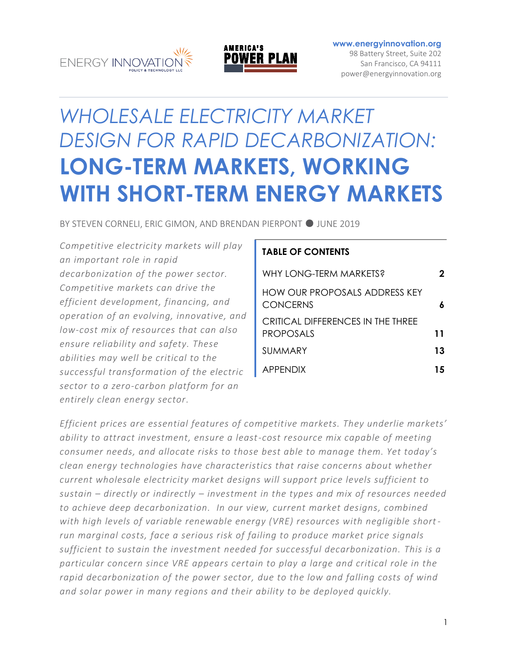



#### **[www.energyinnovation.org](http://www.energyinnovation.org/)**

98 Battery Street, Suite 202 San Francisco, CA 94111 power@energyinnovation.org

# *WHOLESALE ELECTRICITY MARKET DESIGN FOR RAPID DECARBONIZATION:* **LONG-TERM MARKETS, WORKING WITH SHORT-TERM ENERGY MARKETS**

BY STEVEN CORNELI, ERIC GIMON, AND BRENDAN PIERPONT ● JUNE 2019

*Competitive electricity markets will play an important role in rapid decarbonization of the power sector. Competitive markets can drive the efficient development, financing, and operation of an evolving, innovative, and low-cost mix of resources that can also ensure reliability and safety. These abilities may well be critical to the successful transformation of the electric sector to a zero-carbon platform for an entirely clean energy sector.* 

#### **TABLE OF CONTENTS**

| WHY LONG-TERM MARKETS?                                  | 2  |
|---------------------------------------------------------|----|
| <b>HOW OUR PROPOSALS ADDRESS KEY</b><br><b>CONCERNS</b> | 6  |
| CRITICAL DIFFERENCES IN THE THREE<br><b>PROPOSALS</b>   | 11 |
| SUMMARY                                                 | 13 |
| <b>APPENDIX</b>                                         | 15 |
|                                                         |    |

*Efficient prices are essential features of competitive markets. They underlie markets' ability to attract investment, ensure a least-cost resource mix capable of meeting consumer needs, and allocate risks to those best able to manage them. Yet today's clean energy technologies have characteristics that raise concerns about whether current wholesale electricity market designs will support price levels sufficient to sustain – directly or indirectly – investment in the types and mix of resources needed to achieve deep decarbonization. In our view, current market designs, combined with high levels of variable renewable energy (VRE) resources with negligible shortrun marginal costs, face a serious risk of failing to produce market price signals sufficient to sustain the investment needed for successful decarbonization. This is a particular concern since VRE appears certain to play a large and critical role in the rapid decarbonization of the power sector, due to the low and falling costs of wind and solar power in many regions and their ability to be deployed quickly.*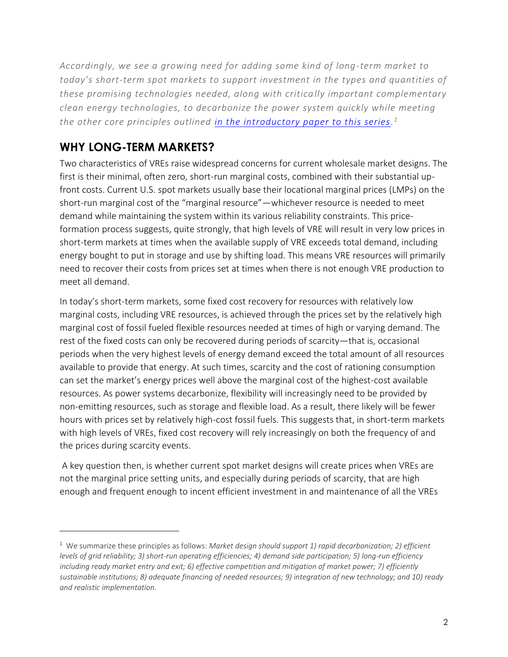*Accordingly, we see a growing need for adding some kind of long-term market to today's short-term spot markets to support investment in the types and quantities of these promising technologies needed, along with critically important complementary clean energy technologies, to decarbonize the power system quickly while meeting the other core principles outlined [in the introductory paper to this series.](https://energyinnovation.org/wp-content/uploads/2019/06/Wholesale-Electricity-Market-Design-For-Rapid-Decarbonization-Visions-For-The-Future.pdf) 1*

## **WHY LONG-TERM MARKETS?**

 $\overline{a}$ 

Two characteristics of VREs raise widespread concerns for current wholesale market designs. The first is their minimal, often zero, short-run marginal costs, combined with their substantial upfront costs. Current U.S. spot markets usually base their locational marginal prices (LMPs) on the short-run marginal cost of the "marginal resource"—whichever resource is needed to meet demand while maintaining the system within its various reliability constraints. This priceformation process suggests, quite strongly, that high levels of VRE will result in very low prices in short-term markets at times when the available supply of VRE exceeds total demand, including energy bought to put in storage and use by shifting load. This means VRE resources will primarily need to recover their costs from prices set at times when there is not enough VRE production to meet all demand.

In today's short-term markets, some fixed cost recovery for resources with relatively low marginal costs, including VRE resources, is achieved through the prices set by the relatively high marginal cost of fossil fueled flexible resources needed at times of high or varying demand. The rest of the fixed costs can only be recovered during periods of scarcity—that is, occasional periods when the very highest levels of energy demand exceed the total amount of all resources available to provide that energy. At such times, scarcity and the cost of rationing consumption can set the market's energy prices well above the marginal cost of the highest-cost available resources. As power systems decarbonize, flexibility will increasingly need to be provided by non-emitting resources, such as storage and flexible load. As a result, there likely will be fewer hours with prices set by relatively high-cost fossil fuels. This suggests that, in short-term markets with high levels of VREs, fixed cost recovery will rely increasingly on both the frequency of and the prices during scarcity events.

A key question then, is whether current spot market designs will create prices when VREs are not the marginal price setting units, and especially during periods of scarcity, that are high enough and frequent enough to incent efficient investment in and maintenance of all the VREs

<sup>1</sup> We summarize these principles as follows: *Market design should support 1) rapid decarbonization; 2) efficient levels of grid reliability; 3) short-run operating efficiencies; 4) demand side participation; 5) long-run efficiency including ready market entry and exit; 6) effective competition and mitigation of market power; 7) efficiently* sustainable institutions; 8) adequate financing of needed resources; 9) integration of new technology; and 10) ready *and realistic implementation*.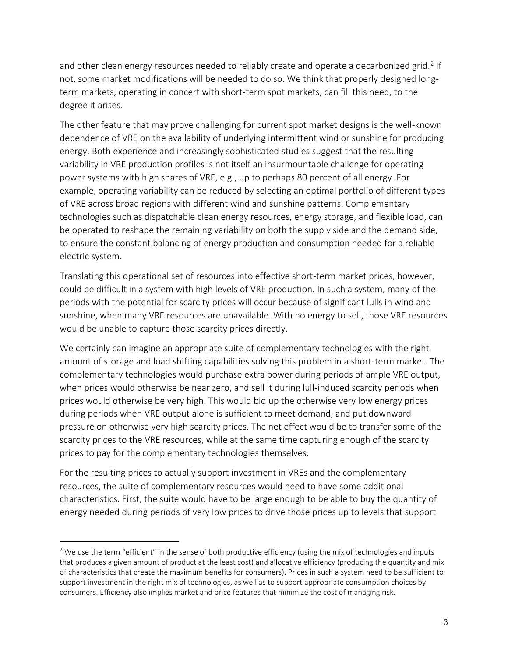and other clean energy resources needed to reliably create and operate a decarbonized grid.<sup>2</sup> If not, some market modifications will be needed to do so. We think that properly designed longterm markets, operating in concert with short-term spot markets, can fill this need, to the degree it arises.

The other feature that may prove challenging for current spot market designs is the well-known dependence of VRE on the availability of underlying intermittent wind or sunshine for producing energy. Both experience and increasingly sophisticated studies suggest that the resulting variability in VRE production profiles is not itself an insurmountable challenge for operating power systems with high shares of VRE, e.g., up to perhaps 80 percent of all energy. For example, operating variability can be reduced by selecting an optimal portfolio of different types of VRE across broad regions with different wind and sunshine patterns. Complementary technologies such as dispatchable clean energy resources, energy storage, and flexible load, can be operated to reshape the remaining variability on both the supply side and the demand side, to ensure the constant balancing of energy production and consumption needed for a reliable electric system.

Translating this operational set of resources into effective short-term market prices, however, could be difficult in a system with high levels of VRE production. In such a system, many of the periods with the potential for scarcity prices will occur because of significant lulls in wind and sunshine, when many VRE resources are unavailable. With no energy to sell, those VRE resources would be unable to capture those scarcity prices directly.

We certainly can imagine an appropriate suite of complementary technologies with the right amount of storage and load shifting capabilities solving this problem in a short-term market. The complementary technologies would purchase extra power during periods of ample VRE output, when prices would otherwise be near zero, and sell it during lull-induced scarcity periods when prices would otherwise be very high. This would bid up the otherwise very low energy prices during periods when VRE output alone is sufficient to meet demand, and put downward pressure on otherwise very high scarcity prices. The net effect would be to transfer some of the scarcity prices to the VRE resources, while at the same time capturing enough of the scarcity prices to pay for the complementary technologies themselves.

For the resulting prices to actually support investment in VREs and the complementary resources, the suite of complementary resources would need to have some additional characteristics. First, the suite would have to be large enough to be able to buy the quantity of energy needed during periods of very low prices to drive those prices up to levels that support

<sup>&</sup>lt;sup>2</sup> We use the term "efficient" in the sense of both productive efficiency (using the mix of technologies and inputs that produces a given amount of product at the least cost) and allocative efficiency (producing the quantity and mix of characteristics that create the maximum benefits for consumers). Prices in such a system need to be sufficient to support investment in the right mix of technologies, as well as to support appropriate consumption choices by consumers. Efficiency also implies market and price features that minimize the cost of managing risk.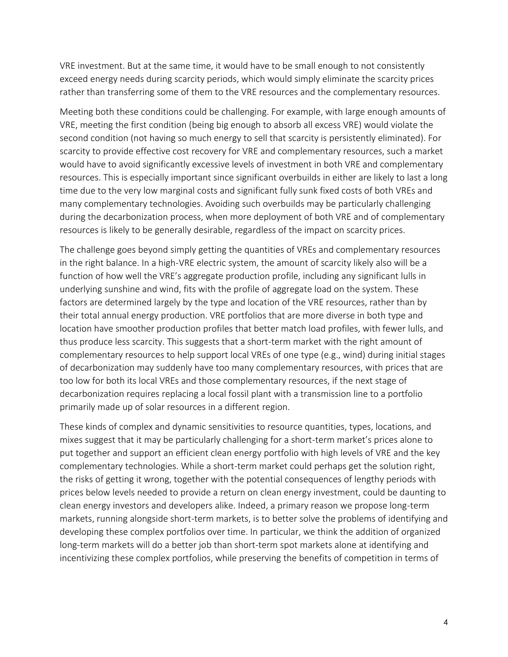VRE investment. But at the same time, it would have to be small enough to not consistently exceed energy needs during scarcity periods, which would simply eliminate the scarcity prices rather than transferring some of them to the VRE resources and the complementary resources.

Meeting both these conditions could be challenging. For example, with large enough amounts of VRE, meeting the first condition (being big enough to absorb all excess VRE) would violate the second condition (not having so much energy to sell that scarcity is persistently eliminated). For scarcity to provide effective cost recovery for VRE and complementary resources, such a market would have to avoid significantly excessive levels of investment in both VRE and complementary resources. This is especially important since significant overbuilds in either are likely to last a long time due to the very low marginal costs and significant fully sunk fixed costs of both VREs and many complementary technologies. Avoiding such overbuilds may be particularly challenging during the decarbonization process, when more deployment of both VRE and of complementary resources is likely to be generally desirable, regardless of the impact on scarcity prices.

The challenge goes beyond simply getting the quantities of VREs and complementary resources in the right balance. In a high-VRE electric system, the amount of scarcity likely also will be a function of how well the VRE's aggregate production profile, including any significant lulls in underlying sunshine and wind, fits with the profile of aggregate load on the system. These factors are determined largely by the type and location of the VRE resources, rather than by their total annual energy production. VRE portfolios that are more diverse in both type and location have smoother production profiles that better match load profiles, with fewer lulls, and thus produce less scarcity. This suggests that a short-term market with the right amount of complementary resources to help support local VREs of one type (e.g., wind) during initial stages of decarbonization may suddenly have too many complementary resources, with prices that are too low for both its local VREs and those complementary resources, if the next stage of decarbonization requires replacing a local fossil plant with a transmission line to a portfolio primarily made up of solar resources in a different region.

These kinds of complex and dynamic sensitivities to resource quantities, types, locations, and mixes suggest that it may be particularly challenging for a short-term market's prices alone to put together and support an efficient clean energy portfolio with high levels of VRE and the key complementary technologies. While a short-term market could perhaps get the solution right, the risks of getting it wrong, together with the potential consequences of lengthy periods with prices below levels needed to provide a return on clean energy investment, could be daunting to clean energy investors and developers alike. Indeed, a primary reason we propose long-term markets, running alongside short-term markets, is to better solve the problems of identifying and developing these complex portfolios over time. In particular, we think the addition of organized long-term markets will do a better job than short-term spot markets alone at identifying and incentivizing these complex portfolios, while preserving the benefits of competition in terms of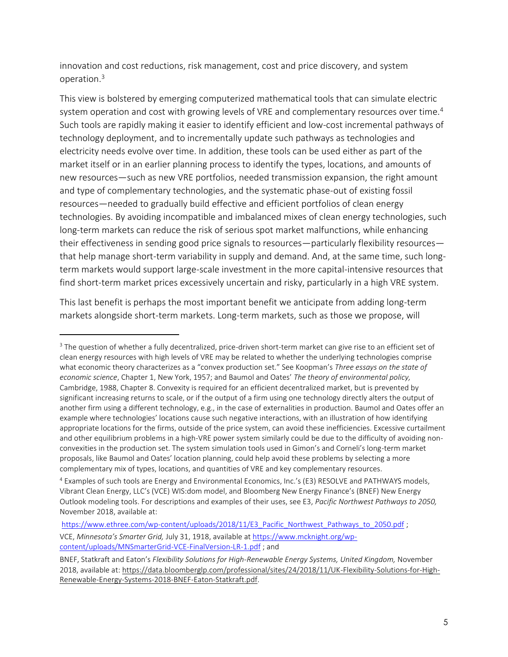innovation and cost reductions, risk management, cost and price discovery, and system operation.<sup>3</sup>

This view is bolstered by emerging computerized mathematical tools that can simulate electric system operation and cost with growing levels of VRE and complementary resources over time.<sup>4</sup> Such tools are rapidly making it easier to identify efficient and low-cost incremental pathways of technology deployment, and to incrementally update such pathways as technologies and electricity needs evolve over time. In addition, these tools can be used either as part of the market itself or in an earlier planning process to identify the types, locations, and amounts of new resources—such as new VRE portfolios, needed transmission expansion, the right amount and type of complementary technologies, and the systematic phase-out of existing fossil resources—needed to gradually build effective and efficient portfolios of clean energy technologies. By avoiding incompatible and imbalanced mixes of clean energy technologies, such long-term markets can reduce the risk of serious spot market malfunctions, while enhancing their effectiveness in sending good price signals to resources—particularly flexibility resources that help manage short-term variability in supply and demand. And, at the same time, such longterm markets would support large-scale investment in the more capital-intensive resources that find short-term market prices excessively uncertain and risky, particularly in a high VRE system.

This last benefit is perhaps the most important benefit we anticipate from adding long-term markets alongside short-term markets. Long-term markets, such as those we propose, will

 $\overline{a}$ 

[https://www.ethree.com/wp-content/uploads/2018/11/E3\\_Pacific\\_Northwest\\_Pathways\\_to\\_2050.pdf](https://www.ethree.com/wp-content/uploads/2018/11/E3_Pacific_Northwest_Pathways_to_2050.pdf) ; VCE, *Minnesota's Smarter Grid,* July 31, 1918, available at [https://www.mcknight.org/wp](https://www.mcknight.org/wp-content/uploads/MNSmarterGrid-VCE-FinalVersion-LR-1.pdf)[content/uploads/MNSmarterGrid-VCE-FinalVersion-LR-1.pdf](https://www.mcknight.org/wp-content/uploads/MNSmarterGrid-VCE-FinalVersion-LR-1.pdf) ; and

<sup>&</sup>lt;sup>3</sup> The question of whether a fully decentralized, price-driven short-term market can give rise to an efficient set of clean energy resources with high levels of VRE may be related to whether the underlying technologies comprise what economic theory characterizes as a "convex production set." See Koopman's *Three essays on the state of economic science*, Chapter 1, New York, 1957; and Baumol and Oates' *The theory of environmental policy,* Cambridge, 1988, Chapter 8. Convexity is required for an efficient decentralized market, but is prevented by significant increasing returns to scale, or if the output of a firm using one technology directly alters the output of another firm using a different technology, e.g., in the case of externalities in production. Baumol and Oates offer an example where technologies' locations cause such negative interactions, with an illustration of how identifying appropriate locations for the firms, outside of the price system, can avoid these inefficiencies. Excessive curtailment and other equilibrium problems in a high-VRE power system similarly could be due to the difficulty of avoiding nonconvexities in the production set. The system simulation tools used in Gimon's and Corneli's long-term market proposals, like Baumol and Oates' location planning, could help avoid these problems by selecting a more complementary mix of types, locations, and quantities of VRE and key complementary resources.

<sup>4</sup> Examples of such tools are Energy and Environmental Economics, Inc.'s (E3) RESOLVE and PATHWAYS models, Vibrant Clean Energy, LLC's (VCE) WIS:dom model, and Bloomberg New Energy Finance's (BNEF) New Energy Outlook modeling tools. For descriptions and examples of their uses, see E3, *Pacific Northwest Pathways to 2050,*  November 2018, available at:

BNEF, Statkraft and Eaton's *Flexibility Solutions for High-Renewable Energy Systems, United Kingdom,* November 2018, available at: https://data.bloomberglp.com/professional/sites/24/2018/11/UK-Flexibility-Solutions-for-High-Renewable-Energy-Systems-2018-BNEF-Eaton-Statkraft.pdf.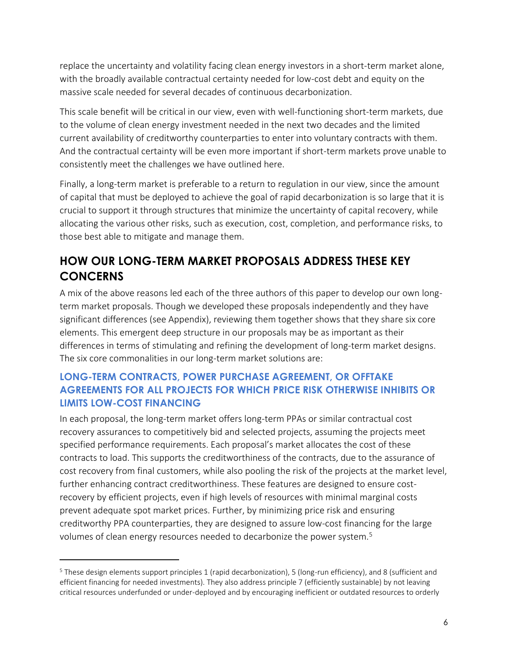replace the uncertainty and volatility facing clean energy investors in a short-term market alone, with the broadly available contractual certainty needed for low-cost debt and equity on the massive scale needed for several decades of continuous decarbonization.

This scale benefit will be critical in our view, even with well-functioning short-term markets, due to the volume of clean energy investment needed in the next two decades and the limited current availability of creditworthy counterparties to enter into voluntary contracts with them. And the contractual certainty will be even more important if short-term markets prove unable to consistently meet the challenges we have outlined here.

Finally, a long-term market is preferable to a return to regulation in our view, since the amount of capital that must be deployed to achieve the goal of rapid decarbonization is so large that it is crucial to support it through structures that minimize the uncertainty of capital recovery, while allocating the various other risks, such as execution, cost, completion, and performance risks, to those best able to mitigate and manage them.

## **HOW OUR LONG-TERM MARKET PROPOSALS ADDRESS THESE KEY CONCERNS**

A mix of the above reasons led each of the three authors of this paper to develop our own longterm market proposals. Though we developed these proposals independently and they have significant differences (see Appendix), reviewing them together shows that they share six core elements. This emergent deep structure in our proposals may be as important as their differences in terms of stimulating and refining the development of long-term market designs. The six core commonalities in our long-term market solutions are:

### **LONG-TERM CONTRACTS, POWER PURCHASE AGREEMENT, OR OFFTAKE AGREEMENTS FOR ALL PROJECTS FOR WHICH PRICE RISK OTHERWISE INHIBITS OR LIMITS LOW-COST FINANCING**

In each proposal, the long-term market offers long-term PPAs or similar contractual cost recovery assurances to competitively bid and selected projects, assuming the projects meet specified performance requirements. Each proposal's market allocates the cost of these contracts to load. This supports the creditworthiness of the contracts, due to the assurance of cost recovery from final customers, while also pooling the risk of the projects at the market level, further enhancing contract creditworthiness. These features are designed to ensure costrecovery by efficient projects, even if high levels of resources with minimal marginal costs prevent adequate spot market prices. Further, by minimizing price risk and ensuring creditworthy PPA counterparties, they are designed to assure low-cost financing for the large volumes of clean energy resources needed to decarbonize the power system.<sup>5</sup>

<sup>5</sup> These design elements support principles 1 (rapid decarbonization), 5 (long-run efficiency), and 8 (sufficient and efficient financing for needed investments). They also address principle 7 (efficiently sustainable) by not leaving critical resources underfunded or under-deployed and by encouraging inefficient or outdated resources to orderly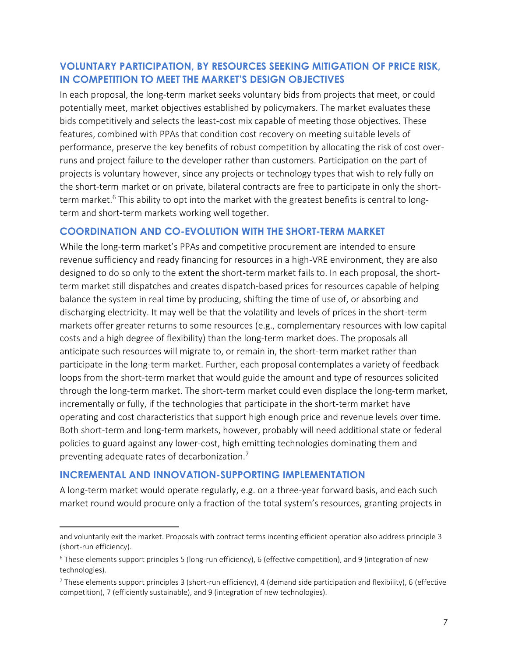#### **VOLUNTARY PARTICIPATION, BY RESOURCES SEEKING MITIGATION OF PRICE RISK, IN COMPETITION TO MEET THE MARKET'S DESIGN OBJECTIVES**

In each proposal, the long-term market seeks voluntary bids from projects that meet, or could potentially meet, market objectives established by policymakers. The market evaluates these bids competitively and selects the least-cost mix capable of meeting those objectives. These features, combined with PPAs that condition cost recovery on meeting suitable levels of performance, preserve the key benefits of robust competition by allocating the risk of cost overruns and project failure to the developer rather than customers. Participation on the part of projects is voluntary however, since any projects or technology types that wish to rely fully on the short-term market or on private, bilateral contracts are free to participate in only the shortterm market.<sup>6</sup> This ability to opt into the market with the greatest benefits is central to longterm and short-term markets working well together.

#### **COORDINATION AND CO-EVOLUTION WITH THE SHORT-TERM MARKET**

While the long-term market's PPAs and competitive procurement are intended to ensure revenue sufficiency and ready financing for resources in a high-VRE environment, they are also designed to do so only to the extent the short-term market fails to. In each proposal, the shortterm market still dispatches and creates dispatch-based prices for resources capable of helping balance the system in real time by producing, shifting the time of use of, or absorbing and discharging electricity. It may well be that the volatility and levels of prices in the short-term markets offer greater returns to some resources (e.g., complementary resources with low capital costs and a high degree of flexibility) than the long-term market does. The proposals all anticipate such resources will migrate to, or remain in, the short-term market rather than participate in the long-term market. Further, each proposal contemplates a variety of feedback loops from the short-term market that would guide the amount and type of resources solicited through the long-term market. The short-term market could even displace the long-term market, incrementally or fully, if the technologies that participate in the short-term market have operating and cost characteristics that support high enough price and revenue levels over time. Both short-term and long-term markets, however, probably will need additional state or federal policies to guard against any lower-cost, high emitting technologies dominating them and preventing adequate rates of decarbonization.<sup>7</sup>

#### **INCREMENTAL AND INNOVATION-SUPPORTING IMPLEMENTATION**

 $\overline{a}$ 

A long-term market would operate regularly, e.g. on a three-year forward basis, and each such market round would procure only a fraction of the total system's resources, granting projects in

and voluntarily exit the market. Proposals with contract terms incenting efficient operation also address principle 3 (short-run efficiency).

 $6$  These elements support principles 5 (long-run efficiency), 6 (effective competition), and 9 (integration of new technologies).

 $^7$  These elements support principles 3 (short-run efficiency), 4 (demand side participation and flexibility), 6 (effective competition), 7 (efficiently sustainable), and 9 (integration of new technologies).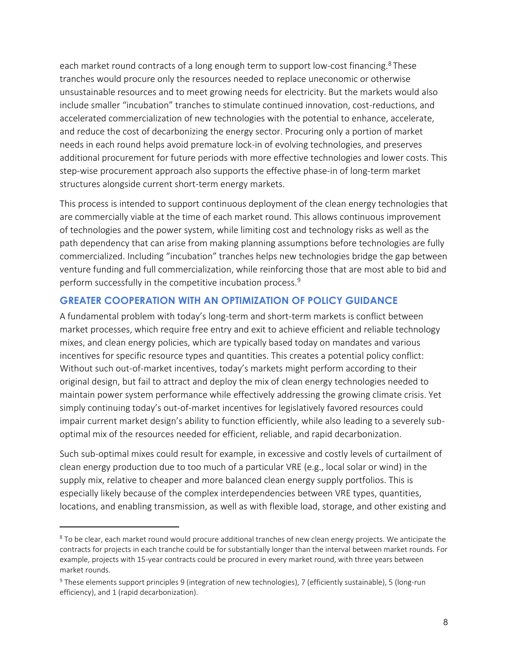each market round contracts of a long enough term to support low-cost financing.<sup>8</sup> These tranches would procure only the resources needed to replace uneconomic or otherwise unsustainable resources and to meet growing needs for electricity. But the markets would also include smaller "incubation" tranches to stimulate continued innovation, cost-reductions, and accelerated commercialization of new technologies with the potential to enhance, accelerate, and reduce the cost of decarbonizing the energy sector. Procuring only a portion of market needs in each round helps avoid premature lock-in of evolving technologies, and preserves additional procurement for future periods with more effective technologies and lower costs. This step-wise procurement approach also supports the effective phase-in of long-term market structures alongside current short-term energy markets.

This process is intended to support continuous deployment of the clean energy technologies that are commercially viable at the time of each market round. This allows continuous improvement of technologies and the power system, while limiting cost and technology risks as well as the path dependency that can arise from making planning assumptions before technologies are fully commercialized. Including "incubation" tranches helps new technologies bridge the gap between venture funding and full commercialization, while reinforcing those that are most able to bid and perform successfully in the competitive incubation process.<sup>9</sup>

#### **GREATER COOPERATION WITH AN OPTIMIZATION OF POLICY GUIDANCE**

A fundamental problem with today's long-term and short-term markets is conflict between market processes, which require free entry and exit to achieve efficient and reliable technology mixes, and clean energy policies, which are typically based today on mandates and various incentives for specific resource types and quantities. This creates a potential policy conflict: Without such out-of-market incentives, today's markets might perform according to their original design, but fail to attract and deploy the mix of clean energy technologies needed to maintain power system performance while effectively addressing the growing climate crisis. Yet simply continuing today's out-of-market incentives for legislatively favored resources could impair current market design's ability to function efficiently, while also leading to a severely suboptimal mix of the resources needed for efficient, reliable, and rapid decarbonization.

Such sub-optimal mixes could result for example, in excessive and costly levels of curtailment of clean energy production due to too much of a particular VRE (e.g., local solar or wind) in the supply mix, relative to cheaper and more balanced clean energy supply portfolios. This is especially likely because of the complex interdependencies between VRE types, quantities, locations, and enabling transmission, as well as with flexible load, storage, and other existing and

<sup>&</sup>lt;sup>8</sup> To be clear, each market round would procure additional tranches of new clean energy projects. We anticipate the contracts for projects in each tranche could be for substantially longer than the interval between market rounds. For example, projects with 15-year contracts could be procured in every market round, with three years between market rounds.

<sup>9</sup> These elements support principles 9 (integration of new technologies), 7 (efficiently sustainable), 5 (long-run efficiency), and 1 (rapid decarbonization).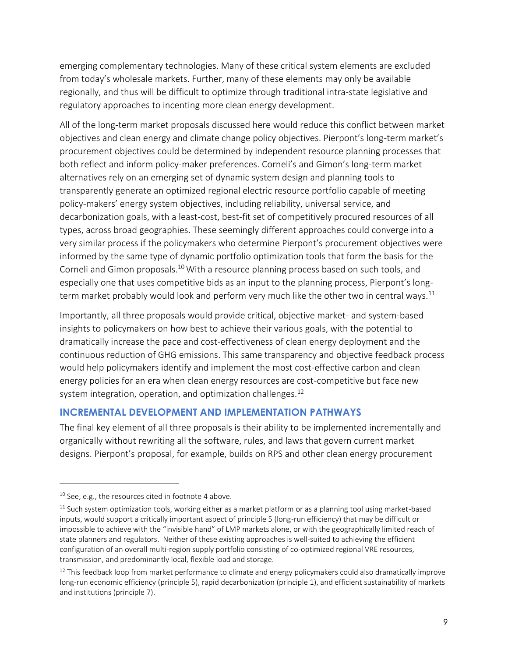emerging complementary technologies. Many of these critical system elements are excluded from today's wholesale markets. Further, many of these elements may only be available regionally, and thus will be difficult to optimize through traditional intra-state legislative and regulatory approaches to incenting more clean energy development.

All of the long-term market proposals discussed here would reduce this conflict between market objectives and clean energy and climate change policy objectives. Pierpont's long-term market's procurement objectives could be determined by independent resource planning processes that both reflect and inform policy-maker preferences. Corneli's and Gimon's long-term market alternatives rely on an emerging set of dynamic system design and planning tools to transparently generate an optimized regional electric resource portfolio capable of meeting policy-makers' energy system objectives, including reliability, universal service, and decarbonization goals, with a least-cost, best-fit set of competitively procured resources of all types, across broad geographies. These seemingly different approaches could converge into a very similar process if the policymakers who determine Pierpont's procurement objectives were informed by the same type of dynamic portfolio optimization tools that form the basis for the Corneli and Gimon proposals.<sup>10</sup> With a resource planning process based on such tools, and especially one that uses competitive bids as an input to the planning process, Pierpont's longterm market probably would look and perform very much like the other two in central ways.<sup>11</sup>

Importantly, all three proposals would provide critical, objective market- and system-based insights to policymakers on how best to achieve their various goals, with the potential to dramatically increase the pace and cost-effectiveness of clean energy deployment and the continuous reduction of GHG emissions. This same transparency and objective feedback process would help policymakers identify and implement the most cost-effective carbon and clean energy policies for an era when clean energy resources are cost-competitive but face new system integration, operation, and optimization challenges. $^{12}$ 

#### **INCREMENTAL DEVELOPMENT AND IMPLEMENTATION PATHWAYS**

The final key element of all three proposals is their ability to be implemented incrementally and organically without rewriting all the software, rules, and laws that govern current market designs. Pierpont's proposal, for example, builds on RPS and other clean energy procurement

<sup>&</sup>lt;sup>10</sup> See, e.g., the resources cited in footnote 4 above.

 $11$  Such system optimization tools, working either as a market platform or as a planning tool using market-based inputs, would support a critically important aspect of principle 5 (long-run efficiency) that may be difficult or impossible to achieve with the "invisible hand" of LMP markets alone, or with the geographically limited reach of state planners and regulators. Neither of these existing approaches is well-suited to achieving the efficient configuration of an overall multi-region supply portfolio consisting of co-optimized regional VRE resources, transmission, and predominantly local, flexible load and storage.

<sup>&</sup>lt;sup>12</sup> This feedback loop from market performance to climate and energy policymakers could also dramatically improve long-run economic efficiency (principle 5), rapid decarbonization (principle 1), and efficient sustainability of markets and institutions (principle 7).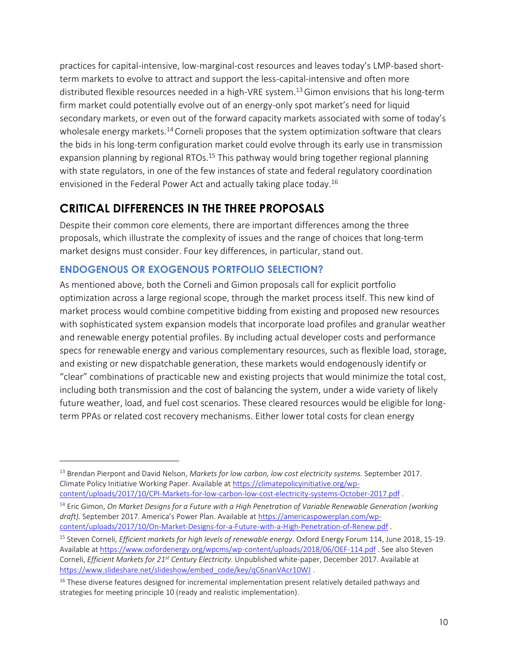practices for capital-intensive, low-marginal-cost resources and leaves today's LMP-based shortterm markets to evolve to attract and support the less-capital-intensive and often more distributed flexible resources needed in a high-VRE system.<sup>13</sup> Gimon envisions that his long-term firm market could potentially evolve out of an energy-only spot market's need for liquid secondary markets, or even out of the forward capacity markets associated with some of today's wholesale energy markets.<sup>14</sup> Corneli proposes that the system optimization software that clears the bids in his long-term configuration market could evolve through its early use in transmission expansion planning by regional RTOs.<sup>15</sup> This pathway would bring together regional planning with state regulators, in one of the few instances of state and federal regulatory coordination envisioned in the Federal Power Act and actually taking place today.<sup>16</sup>

## **CRITICAL DIFFERENCES IN THE THREE PROPOSALS**

Despite their common core elements, there are important differences among the three proposals, which illustrate the complexity of issues and the range of choices that long-term market designs must consider. Four key differences, in particular, stand out.

## **ENDOGENOUS OR EXOGENOUS PORTFOLIO SELECTION?**

 $\overline{a}$ 

As mentioned above, both the Corneli and Gimon proposals call for explicit portfolio optimization across a large regional scope, through the market process itself. This new kind of market process would combine competitive bidding from existing and proposed new resources with sophisticated system expansion models that incorporate load profiles and granular weather and renewable energy potential profiles. By including actual developer costs and performance specs for renewable energy and various complementary resources, such as flexible load, storage, and existing or new dispatchable generation, these markets would endogenously identify or "clear" combinations of practicable new and existing projects that would minimize the total cost, including both transmission and the cost of balancing the system, under a wide variety of likely future weather, load, and fuel cost scenarios. These cleared resources would be eligible for longterm PPAs or related cost recovery mechanisms. Either lower total costs for clean energy

<sup>13</sup> Brendan Pierpont and David Nelson, *Markets for low carbon, low cost electricity systems.* September 2017. Climate Policy Initiative Working Paper. Available a[t https://climatepolicyinitiative.org/wp](https://climatepolicyinitiative.org/wp-content/uploads/2017/10/CPI-Markets-for-low-carbon-low-cost-electricity-systems-October-2017.pdf)[content/uploads/2017/10/CPI-Markets-for-low-carbon-low-cost-electricity-systems-October-2017.pdf](https://climatepolicyinitiative.org/wp-content/uploads/2017/10/CPI-Markets-for-low-carbon-low-cost-electricity-systems-October-2017.pdf) .

<sup>14</sup> Eric Gimon, *On Market Designs for a Future with a High Penetration of Variable Renewable Generation (working draft).* September 2017. America's Power Plan. Available at [https://americaspowerplan.com/wp](https://americaspowerplan.com/wp-content/uploads/2017/10/On-Market-Designs-for-a-Future-with-a-High-Penetration-of-Renew.pdf)[content/uploads/2017/10/On-Market-Designs-for-a-Future-with-a-High-Penetration-of-Renew.pdf](https://americaspowerplan.com/wp-content/uploads/2017/10/On-Market-Designs-for-a-Future-with-a-High-Penetration-of-Renew.pdf) .

<sup>15</sup> Steven Corneli, *Efficient markets for high levels of renewable energy.* Oxford Energy Forum 114, June 2018, 15-19. Available a[t https://www.oxfordenergy.org/wpcms/wp-content/uploads/2018/06/OEF-114.pdf](https://www.oxfordenergy.org/wpcms/wp-content/uploads/2018/06/OEF-114.pdf) . See also Steven Corneli, *Efficient Markets for 21st Century Electricity.* Unpublished white-paper, December 2017. Available at [https://www.slideshare.net/slideshow/embed\\_code/key/qC6nanVAcr10WJ](https://www.slideshare.net/slideshow/embed_code/key/qC6nanVAcr10WJ).

 $16$  These diverse features designed for incremental implementation present relatively detailed pathways and strategies for meeting principle 10 (ready and realistic implementation).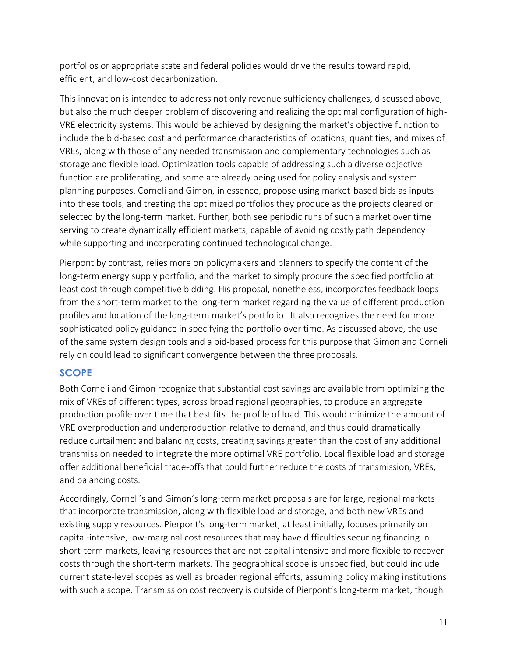portfolios or appropriate state and federal policies would drive the results toward rapid, efficient, and low-cost decarbonization.

This innovation is intended to address not only revenue sufficiency challenges, discussed above, but also the much deeper problem of discovering and realizing the optimal configuration of high-VRE electricity systems. This would be achieved by designing the market's objective function to include the bid-based cost and performance characteristics of locations, quantities, and mixes of VREs, along with those of any needed transmission and complementary technologies such as storage and flexible load. Optimization tools capable of addressing such a diverse objective function are proliferating, and some are already being used for policy analysis and system planning purposes. Corneli and Gimon, in essence, propose using market-based bids as inputs into these tools, and treating the optimized portfolios they produce as the projects cleared or selected by the long-term market. Further, both see periodic runs of such a market over time serving to create dynamically efficient markets, capable of avoiding costly path dependency while supporting and incorporating continued technological change.

Pierpont by contrast, relies more on policymakers and planners to specify the content of the long-term energy supply portfolio, and the market to simply procure the specified portfolio at least cost through competitive bidding. His proposal, nonetheless, incorporates feedback loops from the short-term market to the long-term market regarding the value of different production profiles and location of the long-term market's portfolio. It also recognizes the need for more sophisticated policy guidance in specifying the portfolio over time. As discussed above, the use of the same system design tools and a bid-based process for this purpose that Gimon and Corneli rely on could lead to significant convergence between the three proposals.

#### **SCOPE**

Both Corneli and Gimon recognize that substantial cost savings are available from optimizing the mix of VREs of different types, across broad regional geographies, to produce an aggregate production profile over time that best fits the profile of load. This would minimize the amount of VRE overproduction and underproduction relative to demand, and thus could dramatically reduce curtailment and balancing costs, creating savings greater than the cost of any additional transmission needed to integrate the more optimal VRE portfolio. Local flexible load and storage offer additional beneficial trade-offs that could further reduce the costs of transmission, VREs, and balancing costs.

Accordingly, Corneli's and Gimon's long-term market proposals are for large, regional markets that incorporate transmission, along with flexible load and storage, and both new VREs and existing supply resources. Pierpont's long-term market, at least initially, focuses primarily on capital-intensive, low-marginal cost resources that may have difficulties securing financing in short-term markets, leaving resources that are not capital intensive and more flexible to recover costs through the short-term markets. The geographical scope is unspecified, but could include current state-level scopes as well as broader regional efforts, assuming policy making institutions with such a scope. Transmission cost recovery is outside of Pierpont's long-term market, though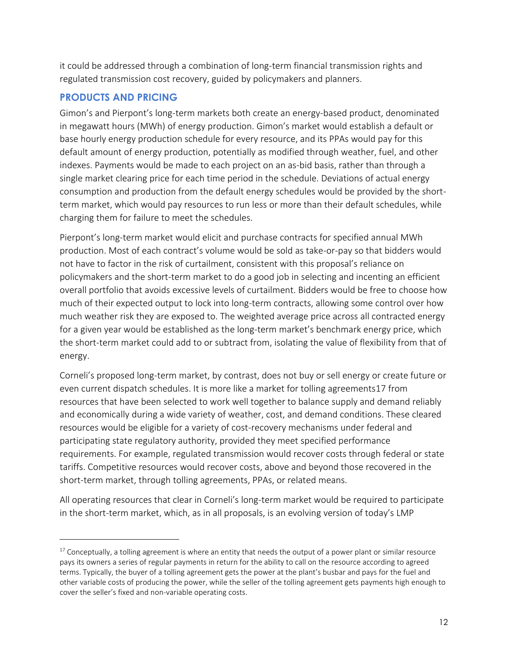it could be addressed through a combination of long-term financial transmission rights and regulated transmission cost recovery, guided by policymakers and planners.

#### **PRODUCTS AND PRICING**

 $\overline{a}$ 

Gimon's and Pierpont's long-term markets both create an energy-based product, denominated in megawatt hours (MWh) of energy production. Gimon's market would establish a default or base hourly energy production schedule for every resource, and its PPAs would pay for this default amount of energy production, potentially as modified through weather, fuel, and other indexes. Payments would be made to each project on an as-bid basis, rather than through a single market clearing price for each time period in the schedule. Deviations of actual energy consumption and production from the default energy schedules would be provided by the shortterm market, which would pay resources to run less or more than their default schedules, while charging them for failure to meet the schedules.

Pierpont's long-term market would elicit and purchase contracts for specified annual MWh production. Most of each contract's volume would be sold as take-or-pay so that bidders would not have to factor in the risk of curtailment, consistent with this proposal's reliance on policymakers and the short-term market to do a good job in selecting and incenting an efficient overall portfolio that avoids excessive levels of curtailment. Bidders would be free to choose how much of their expected output to lock into long-term contracts, allowing some control over how much weather risk they are exposed to. The weighted average price across all contracted energy for a given year would be established as the long-term market's benchmark energy price, which the short-term market could add to or subtract from, isolating the value of flexibility from that of energy.

Corneli's proposed long-term market, by contrast, does not buy or sell energy or create future or even current dispatch schedules. It is more like a market for tolling agreements17 from resources that have been selected to work well together to balance supply and demand reliably and economically during a wide variety of weather, cost, and demand conditions. These cleared resources would be eligible for a variety of cost-recovery mechanisms under federal and participating state regulatory authority, provided they meet specified performance requirements. For example, regulated transmission would recover costs through federal or state tariffs. Competitive resources would recover costs, above and beyond those recovered in the short-term market, through tolling agreements, PPAs, or related means.

All operating resources that clear in Corneli's long-term market would be required to participate in the short-term market, which, as in all proposals, is an evolving version of today's LMP

 $17$  Conceptually, a tolling agreement is where an entity that needs the output of a power plant or similar resource pays its owners a series of regular payments in return for the ability to call on the resource according to agreed terms. Typically, the buyer of a tolling agreement gets the power at the plant's busbar and pays for the fuel and other variable costs of producing the power, while the seller of the tolling agreement gets payments high enough to cover the seller's fixed and non-variable operating costs.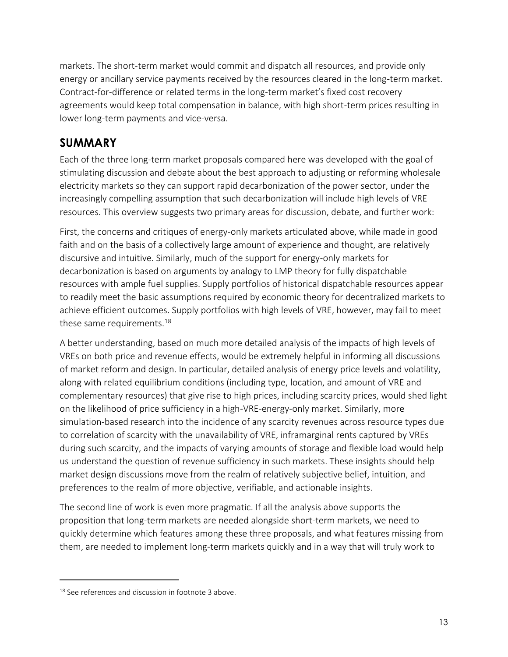markets. The short-term market would commit and dispatch all resources, and provide only energy or ancillary service payments received by the resources cleared in the long-term market. Contract-for-difference or related terms in the long-term market's fixed cost recovery agreements would keep total compensation in balance, with high short-term prices resulting in lower long-term payments and vice-versa.

## **SUMMARY**

Each of the three long-term market proposals compared here was developed with the goal of stimulating discussion and debate about the best approach to adjusting or reforming wholesale electricity markets so they can support rapid decarbonization of the power sector, under the increasingly compelling assumption that such decarbonization will include high levels of VRE resources. This overview suggests two primary areas for discussion, debate, and further work:

First, the concerns and critiques of energy-only markets articulated above, while made in good faith and on the basis of a collectively large amount of experience and thought, are relatively discursive and intuitive. Similarly, much of the support for energy-only markets for decarbonization is based on arguments by analogy to LMP theory for fully dispatchable resources with ample fuel supplies. Supply portfolios of historical dispatchable resources appear to readily meet the basic assumptions required by economic theory for decentralized markets to achieve efficient outcomes. Supply portfolios with high levels of VRE, however, may fail to meet these same requirements.<sup>18</sup>

A better understanding, based on much more detailed analysis of the impacts of high levels of VREs on both price and revenue effects, would be extremely helpful in informing all discussions of market reform and design. In particular, detailed analysis of energy price levels and volatility, along with related equilibrium conditions (including type, location, and amount of VRE and complementary resources) that give rise to high prices, including scarcity prices, would shed light on the likelihood of price sufficiency in a high-VRE-energy-only market. Similarly, more simulation-based research into the incidence of any scarcity revenues across resource types due to correlation of scarcity with the unavailability of VRE, inframarginal rents captured by VREs during such scarcity, and the impacts of varying amounts of storage and flexible load would help us understand the question of revenue sufficiency in such markets. These insights should help market design discussions move from the realm of relatively subjective belief, intuition, and preferences to the realm of more objective, verifiable, and actionable insights.

The second line of work is even more pragmatic. If all the analysis above supports the proposition that long-term markets are needed alongside short-term markets, we need to quickly determine which features among these three proposals, and what features missing from them, are needed to implement long-term markets quickly and in a way that will truly work to

<sup>&</sup>lt;sup>18</sup> See references and discussion in footnote 3 above.